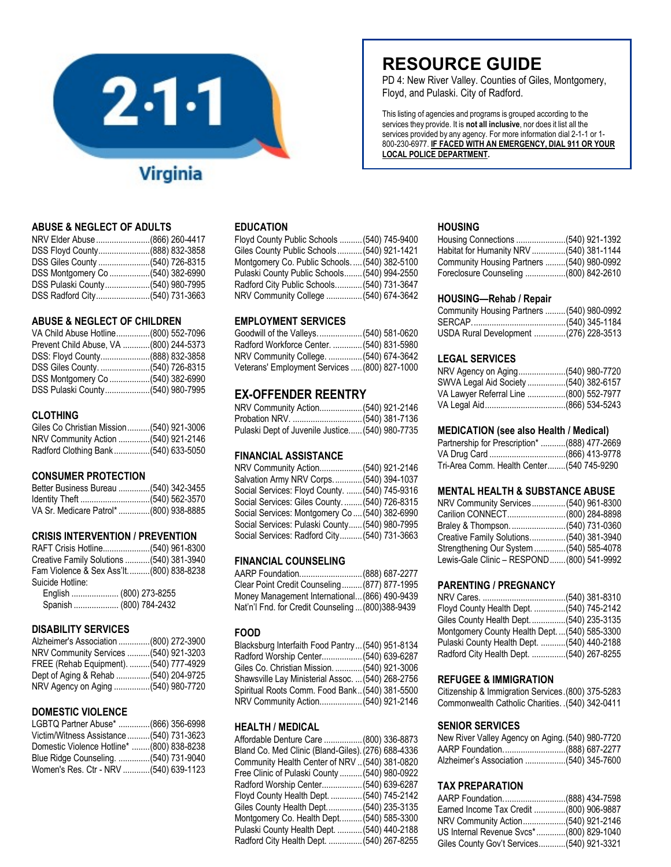

# **ABUSE & NEGLECT OF ADULTS**

| NRV Elder Abuse (866) 260-4417   |  |
|----------------------------------|--|
| DSS Floyd County(888) 832-3858   |  |
| DSS Giles County (540) 726-8315  |  |
| DSS Montgomery Co (540) 382-6990 |  |
| DSS Pulaski County(540) 980-7995 |  |
| DSS Radford City(540) 731-3663   |  |

# **ABUSE & NEGLECT OF CHILDREN**

| VA Child Abuse Hotline(800) 552-7096   |  |
|----------------------------------------|--|
| Prevent Child Abuse, VA (800) 244-5373 |  |
| DSS: Floyd County(888) 832-3858        |  |
|                                        |  |
|                                        |  |
| DSS Pulaski County(540) 980-7995       |  |

# **CLOTHING**

| Giles Co Christian Mission(540) 921-3006 |  |
|------------------------------------------|--|
| NRV Community Action (540) 921-2146      |  |
| Radford Clothing Bank(540) 633-5050      |  |

# **CONSUMER PROTECTION**

| Better Business Bureau (540) 342-3455  |  |
|----------------------------------------|--|
|                                        |  |
| VA Sr. Medicare Patrol* (800) 938-8885 |  |

# **CRISIS INTERVENTION / PREVENTION**

| RAFT Crisis Hotline(540) 961-8300         |  |
|-------------------------------------------|--|
| Creative Family Solutions  (540) 381-3940 |  |
| Fam Violence & Sex Ass'lt(800) 838-8238   |  |
| Suicide Hotline:                          |  |
| English  (800) 273-8255                   |  |
| Spanish  (800) 784-2432                   |  |
|                                           |  |

# **DISABILITY SERVICES**

| Alzheimer's Association (800) 272-3900 |  |
|----------------------------------------|--|
| NRV Community Services  (540) 921-3203 |  |
| FREE (Rehab Equipment). (540) 777-4929 |  |
| Dept of Aging & Rehab (540) 204-9725   |  |
| NRV Agency on Aging (540) 980-7720     |  |

# **DOMESTIC VIOLENCE**

| LGBTQ Partner Abuse* (866) 356-6998       |  |
|-------------------------------------------|--|
| Victim/Witness Assistance  (540) 731-3623 |  |
| Domestic Violence Hotline* (800) 838-8238 |  |
| Blue Ridge Counseling. (540) 731-9040     |  |
| Women's Res. Ctr - NRV (540) 639-1123     |  |

# **EDUCATION**

| Floyd County Public Schools  (540) 745-9400  |  |
|----------------------------------------------|--|
| Giles County Public Schools  (540) 921-1421  |  |
| Montgomery Co. Public Schools (540) 382-5100 |  |
| Pulaski County Public Schools (540) 994-2550 |  |
| Radford City Public Schools (540) 731-3647   |  |
| NRV Community College  (540) 674-3642        |  |

# **EMPLOYMENT SERVICES**

| Goodwill of the Valleys.  (540) 581-0620      |  |  |
|-----------------------------------------------|--|--|
| Radford Workforce Center.  (540) 831-5980     |  |  |
| NRV Community College.  (540) 674-3642        |  |  |
| Veterans' Employment Services  (800) 827-1000 |  |  |

# **EX-OFFENDER REENTRY**

| NRV Community Action (540) 921-2146             |  |
|-------------------------------------------------|--|
|                                                 |  |
| Pulaski Dept of Juvenile Justice (540) 980-7735 |  |

# **FINANCIAL ASSISTANCE**

| NRV Community Action(540) 921-2146             |  |  |
|------------------------------------------------|--|--|
| Salvation Army NRV Corps.  (540) 394-1037      |  |  |
| Social Services: Floyd County.  (540) 745-9316 |  |  |
| Social Services: Giles County.  (540) 726-8315 |  |  |
| Social Services: Montgomery Co (540) 382-6990  |  |  |
| Social Services: Pulaski County (540) 980-7995 |  |  |
| Social Services: Radford City (540) 731-3663   |  |  |
|                                                |  |  |

# **FINANCIAL COUNSELING**

| Clear Point Credit Counseling (877) 877-1995      |  |  |
|---------------------------------------------------|--|--|
| Money Management International (866) 490-9439     |  |  |
| Nat'n'l Fnd. for Credit Counseling  (800)388-9439 |  |  |

# **FOOD**

| Blacksburg Interfaith Food Pantry (540) 951-8134  |  |  |
|---------------------------------------------------|--|--|
| Radford Worship Center (540) 639-6287             |  |  |
| Giles Co. Christian Mission.  (540) 921-3006      |  |  |
| Shawsville Lay Ministerial Assoc.  (540) 268-2756 |  |  |
| Spiritual Roots Comm. Food Bank (540) 381-5500    |  |  |
| NRV Community Action(540) 921-2146                |  |  |
|                                                   |  |  |

# **HEALTH / MEDICAL**

| Affordable Denture Care  (800) 336-8873            |  |  |
|----------------------------------------------------|--|--|
| Bland Co. Med Clinic (Bland-Giles). (276) 688-4336 |  |  |
| Community Health Center of NRV  (540) 381-0820     |  |  |
| Free Clinic of Pulaski County  (540) 980-0922      |  |  |
| Radford Worship Center(540) 639-6287               |  |  |
| Floyd County Health Dept. (540) 745-2142           |  |  |
| Giles County Health Dept(540) 235-3135             |  |  |
| Montgomery Co. Health Dept (540) 585-3300          |  |  |
| Pulaski County Health Dept.  (540) 440-2188        |  |  |
| Radford City Health Dept.  (540) 267-8255          |  |  |
|                                                    |  |  |

# **RESOURCE GUIDE**

PD 4: New River Valley. Counties of Giles, Montgomery, Floyd, and Pulaski. City of Radford.

This listing of agencies and programs is grouped according to the services they provide. It is **not all inclusive**, nor does it list all the services provided by any agency. For more information dial 2-1-1 or 1- 800-230-6977. **IF FACED WITH AN EMERGENCY, DIAL 911 OR YOUR LOCAL POLICE DEPARTMENT.**

# **HOUSING**

| Housing Connections (540) 921-1392        |  |
|-------------------------------------------|--|
| Habitat for Humanity NRV (540) 381-1144   |  |
| Community Housing Partners (540) 980-0992 |  |
| Foreclosure Counseling (800) 842-2610     |  |

### **HOUSING—Rehab / Repair**

| Community Housing Partners  (540) 980-0992 |  |
|--------------------------------------------|--|
|                                            |  |
| USDA Rural Development (276) 228-3513      |  |

# **LEGAL SERVICES**

| NRV Agency on Aging(540) 980-7720      |  |
|----------------------------------------|--|
|                                        |  |
| VA Lawyer Referral Line (800) 552-7977 |  |
|                                        |  |

### **MEDICATION (see also Health / Medical)**

| Partnership for Prescription* (888) 477-2669 |  |
|----------------------------------------------|--|
|                                              |  |
| Tri-Area Comm. Health Center (540 745-9290   |  |

### **MENTAL HEALTH & SUBSTANCE ABUSE**

| NRV Community Services (540) 961-8300       |  |
|---------------------------------------------|--|
| Carilion CONNECT (800) 284-8898             |  |
|                                             |  |
| Creative Family Solutions(540) 381-3940     |  |
| Strengthening Our System  (540) 585-4078    |  |
| Lewis-Gale Clinic - RESPOND  (800) 541-9992 |  |

# **PARENTING / PREGNANCY**

| Floyd County Health Dept. (540) 745-2142       |  |
|------------------------------------------------|--|
| Giles County Health Dept. (540) 235-3135       |  |
| Montgomery County Health Dept.  (540) 585-3300 |  |
| Pulaski County Health Dept. (540) 440-2188     |  |
| Radford City Health Dept. (540) 267-8255       |  |

# **REFUGEE & IMMIGRATION**

Citizenship & Immigration Services.(800) 375-5283 Commonwealth Catholic Charities. .(540) 342-0411

# **SENIOR SERVICES**

| New River Valley Agency on Aging. (540) 980-7720 |  |
|--------------------------------------------------|--|
| AARP Foundation(888) 687-2277                    |  |
| Alzheimer's Association (540) 345-7600           |  |

# **TAX PREPARATION**

| AARP Foundation(888) 434-7598              |  |
|--------------------------------------------|--|
| Earned Income Tax Credit (800) 906-9887    |  |
|                                            |  |
| US Internal Revenue Svcs*(800) 829-1040    |  |
| Giles County Gov't Services (540) 921-3321 |  |